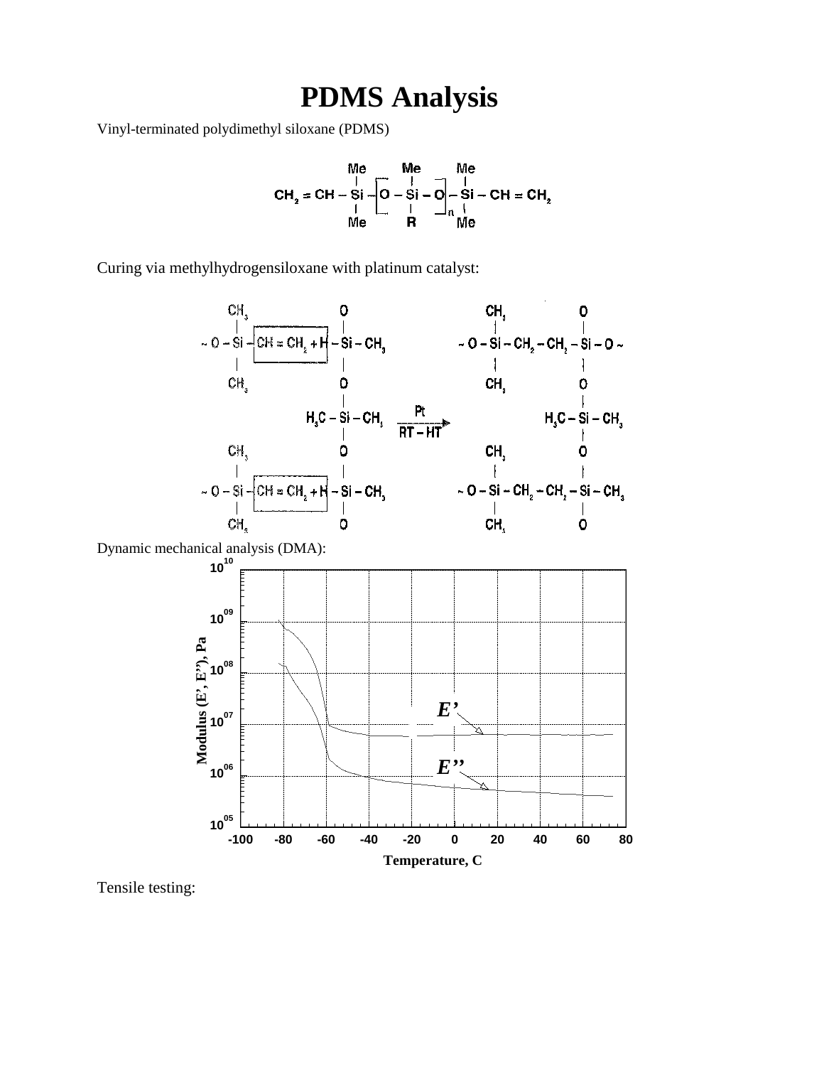## **PDMS Analysis**

Vinyl-terminated polydimethyl siloxane (PDMS)

$$
CH_2 = CH - Si - \begin{bmatrix} Me & Me \\ \vdots & \vdots & \vdots \\ Ch_2 = CH - Si - \begin{bmatrix} 0 & -Si - O \\ \vdots & \vdots & \vdots \\ 0 & 0 & 0 \\ Me & 0 & 0 \end{bmatrix} - Si - CH = CH_2
$$

Curing via methylhydrogensiloxane with platinum catalyst:



Tensile testing: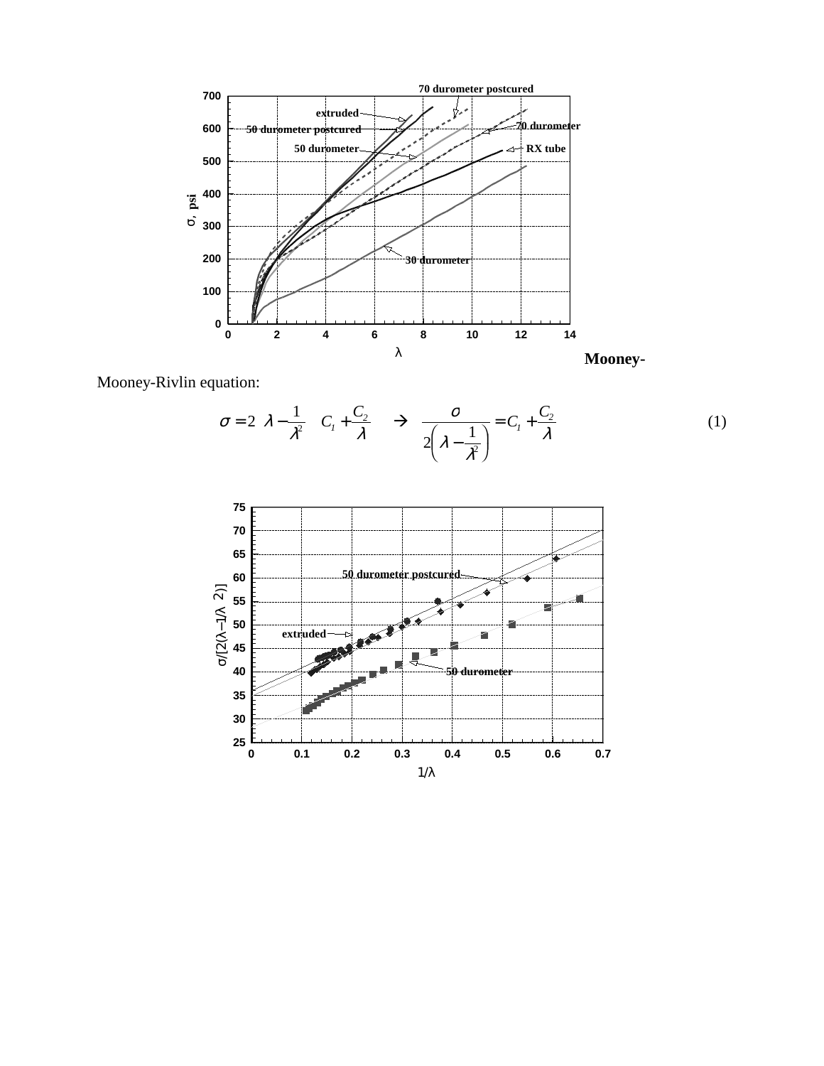

Mooney-Rivlin equation:

$$
\sigma = 2\left(\lambda - \frac{1}{\lambda^2}\right)\left(C_1 + \frac{C_2}{\lambda}\right) \rightarrow \frac{\sigma}{2\left(\lambda - \frac{1}{\lambda^2}\right)} = C_1 + \frac{C_2}{\lambda}
$$
\n(1)

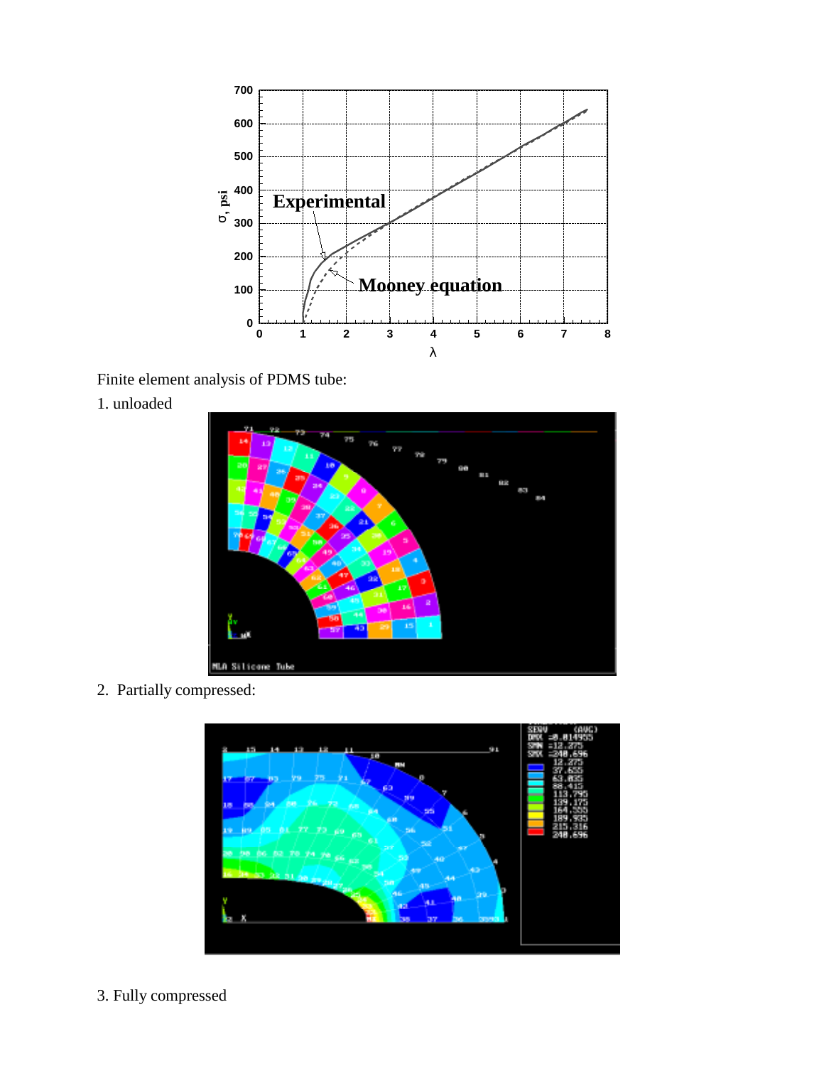

Finite element analysis of PDMS tube:





2. Partially compressed:



3. Fully compressed